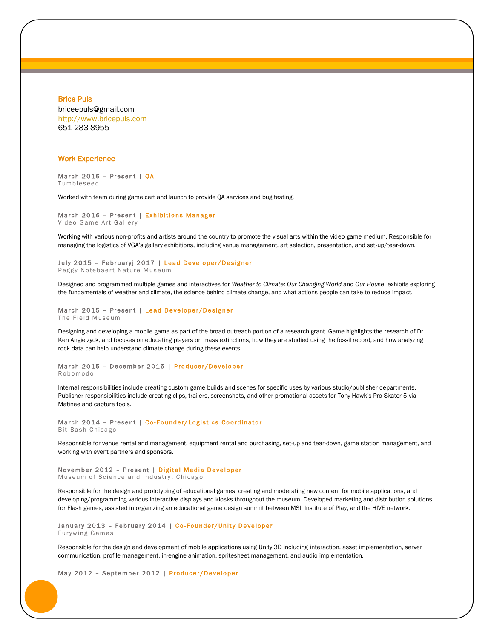# Brice Puls

briceepuls@gmail.com [http://www.bricepuls.com](http://www.bricepuls.com/) 651-283-8955

# Work Experience

March 2016 - Present | QA **Tumbleseed** 

Worked with team during game cert and launch to provide QA services and bug testing.

### March 2016 - Present | Exhibitions Manager

Video Game Art Gallery

Working with various non-profits and artists around the country to promote the visual arts within the video game medium. Responsible for managing the logistics of VGA's gallery exhibitions, including venue management, art selection, presentation, and set-up/tear-down.

# July 2015 - Februaryj 2017 | Lead Developer/Designer

Peggy Notebaert Nature Museum

Designed and programmed multiple games and interactives for *Weather to Climate: Our Changing World* and *Our House*, exhibits exploring the fundamentals of weather and climate, the science behind climate change, and what actions people can take to reduce impact.

March 2015 - Present | Lead Developer/Designer The Field Museum

Designing and developing a mobile game as part of the broad outreach portion of a research grant. Game highlights the research of Dr. Ken Angielzyck, and focuses on educating players on mass extinctions, how they are studied using the fossil record, and how analyzing rock data can help understand climate change during these events.

#### March 2015 - December 2015 | Producer/Developer R o bo mo do

Internal responsibilities include creating custom game builds and scenes for specific uses by various studio/publisher departments. Publisher responsibilities include creating clips, trailers, screenshots, and other promotional assets for Tony Hawk's Pro Skater 5 via Matinee and capture tools.

March 2014 - Present | Co-Founder/Logistics Coordinator

Bit Bash Chicago

Responsible for venue rental and management, equipment rental and purchasing, set-up and tear-down, game station management, and working with event partners and sponsors.

# November 2012 - Present | Digital Media Developer

Museum of Science and Industry, Chicago

Responsible for the design and prototyping of educational games, creating and moderating new content for mobile applications, and developing/programming various interactive displays and kiosks throughout the museum. Developed marketing and distribution solutions for Flash games, assisted in organizing an educational game design summit between MSI, Institute of Play, and the HIVE network.

January 2013 - February 2014 | Co-Founder/Unity Developer Furywing Games

Responsible for the design and development of mobile applications using Unity 3D including interaction, asset implementation, server communication, profile management, in-engine animation, spritesheet management, and audio implementation.

#### May 2012 - September 2012 | Producer/Developer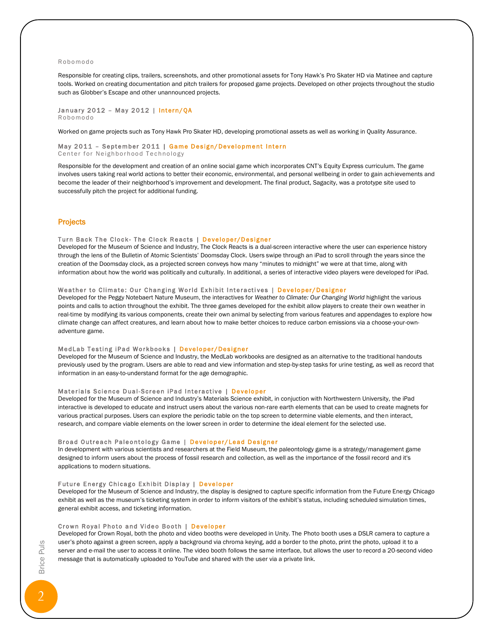#### R o bo mo do

Responsible for creating clips, trailers, screenshots, and other promotional assets for Tony Hawk's Pro Skater HD via Matinee and capture tools. Worked on creating documentation and pitch trailers for proposed game projects. Developed on other projects throughout the studio such as Globber's Escape and other unannounced projects.

#### January 2012 - May 2012 | Intern/QA R o bo mo do

Worked on game projects such as Tony Hawk Pro Skater HD, developing promotional assets as well as working in Quality Assurance.

### May 2011 - September 2011 | Game Design/Development Intern

Center for Neighborhood Technology

Responsible for the development and creation of an online social game which incorporates CNT's Equity Express curriculum. The game involves users taking real world actions to better their economic, environmental, and personal wellbeing in order to gain achievements and become the leader of their neighborhood's improvement and development. The final product, Sagacity, was a prototype site used to successfully pitch the project for additional funding.

### **Projects**

#### Turn Back The Clock- The Clock Reacts | Developer/Designer

Developed for the Museum of Science and Industry, The Clock Reacts is a dual-screen interactive where the user can experience history through the lens of the Bulletin of Atomic Scientists' Doomsday Clock. Users swipe through an iPad to scroll through the years since the creation of the Doomsday clock, as a projected screen conveys how many "minutes to midnight" we were at that time, along with information about how the world was politically and culturally. In additional, a series of interactive video players were developed for iPad.

### Weather to Climate: Our Changing World Exhibit Interactives | Developer/Designer

Developed for the Peggy Notebaert Nature Museum, the interactives for *Weather to Climate: Our Changing World* highlight the various points and calls to action throughout the exhibit. The three games developed for the exhibit allow players to create their own weather in real-time by modifying its various components, create their own animal by selecting from various features and appendages to explore how climate change can affect creatures, and learn about how to make better choices to reduce carbon emissions via a choose-your-ownadventure game.

### MedLab Testing iPad Workbooks | Developer/Designer

Developed for the Museum of Science and Industry, the MedLab workbooks are designed as an alternative to the traditional handouts previously used by the program. Users are able to read and view information and step-by-step tasks for urine testing, as well as record that information in an easy-to-understand format for the age demographic.

### Materials Science Dual-Screen iPad Interactive | Developer

Developed for the Museum of Science and Industry's Materials Science exhibit, in conjuction with Northwestern University, the iPad interactive is developed to educate and instruct users about the various non-rare earth elements that can be used to create magnets for various practical purposes. Users can explore the periodic table on the top screen to determine viable elements, and then interact, research, and compare viable elements on the lower screen in order to determine the ideal element for the selected use.

### Broad Outreach Paleontology Game | Developer/Lead Designer

In development with various scientists and researchers at the Field Museum, the paleontology game is a strategy/management game designed to inform users about the process of fossil research and collection, as well as the importance of the fossil record and it's applications to modern situations.

#### Future Energy Chicago Exhibit Display | Developer

Developed for the Museum of Science and Industry, the display is designed to capture specific information from the Future Energy Chicago exhibit as well as the museum's ticketing system in order to inform visitors of the exhibit's status, including scheduled simulation times, general exhibit access, and ticketing information.

### Crown Royal Photo and Video Booth | Developer

Developed for Crown Royal, both the photo and video booths were developed in Unity. The Photo booth uses a DSLR camera to capture a user's photo against a green screen, apply a background via chroma keying, add a border to the photo, print the photo, upload it to a server and e-mail the user to access it online. The video booth follows the same interface, but allows the user to record a 20-second video message that is automatically uploaded to YouTube and shared with the user via a private link.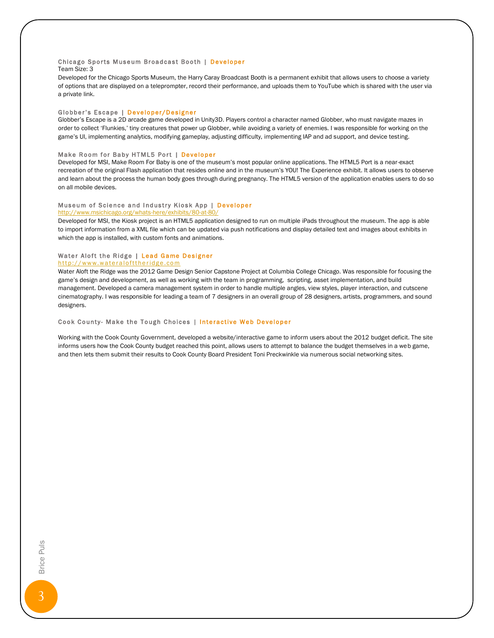### Chicago Sports Museum Broadcast Booth | Developer Team Size: 3

Developed for the Chicago Sports Museum, the Harry Caray Broadcast Booth is a permanent exhibit that allows users to choose a variety of options that are displayed on a teleprompter, record their performance, and uploads them to YouTube which is shared with the user via a private link.

#### Globber's Escape | Developer/Designer

Globber's Escape is a 2D arcade game developed in Unity3D. Players control a character named Globber, who must navigate mazes in order to collect 'Flunkies,' tiny creatures that power up Globber, while avoiding a variety of enemies. I was responsible for working on the game's UI, implementing analytics, modifying gameplay, adjusting difficulty, implementing IAP and ad support, and device testing.

#### Make Room for Baby HTML5 Port | Developer

Developed for MSI, Make Room For Baby is one of the museum's most popular online applications. The HTML5 Port is a near-exact recreation of the original Flash application that resides online and in the museum's YOU! The Experience exhibit. It allows users to observe and learn about the process the human body goes through during pregnancy. The HTML5 version of the application enables users to do so on all mobile devices.

### Museum of Science and Industry Kiosk App | Developer

http://www.msichicago.org/whats-here/exhibits/80-at-8

Developed for MSI, the Kiosk project is an HTML5 application designed to run on multiple iPads throughout the museum. The app is able to import information from a XML file which can be updated via push notifications and display detailed text and images about exhibits in which the app is installed, with custom fonts and animations.

### Water Aloft the Ridge | Lead Game Designer http://www.wateralofttheridge.com

Water Aloft the Ridge was the 2012 Game Design Senior Capstone Project at Columbia College Chicago. Was responsible for focusing the game's design and development, as well as working with the team in programming, scripting, asset implementation, and build management. Developed a camera management system in order to handle multiple angles, view styles, player interaction, and cutscene cinematography. I was responsible for leading a team of 7 designers in an overall group of 28 designers, artists, programmers, and sound designers.

### Cook County- Make the Tough Choices | Interactive Web Developer

Working with the Cook County Government, developed a website/interactive game to inform users about the 2012 budget deficit. The site informs users how the Cook County budget reached this point, allows users to attempt to balance the budget themselves in a web game, and then lets them submit their results to Cook County Board President Toni Preckwinkle via numerous social networking sites.